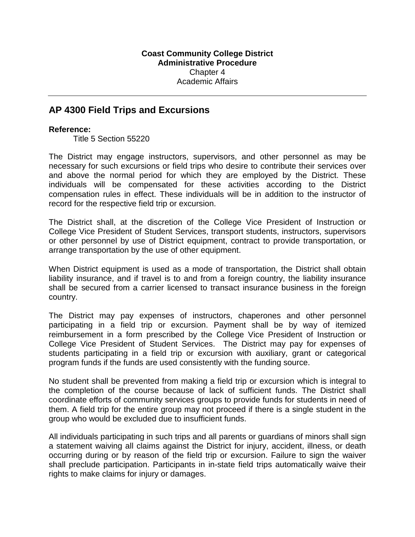## **AP 4300 Field Trips and Excursions**

## **Reference:**

Title 5 Section 55220

The District may engage instructors, supervisors, and other personnel as may be necessary for such excursions or field trips who desire to contribute their services over and above the normal period for which they are employed by the District. These individuals will be compensated for these activities according to the District compensation rules in effect. These individuals will be in addition to the instructor of record for the respective field trip or excursion.

The District shall, at the discretion of the College Vice President of Instruction or College Vice President of Student Services, transport students, instructors, supervisors or other personnel by use of District equipment, contract to provide transportation, or arrange transportation by the use of other equipment.

When District equipment is used as a mode of transportation, the District shall obtain liability insurance, and if travel is to and from a foreign country, the liability insurance shall be secured from a carrier licensed to transact insurance business in the foreign country.

The District may pay expenses of instructors, chaperones and other personnel participating in a field trip or excursion. Payment shall be by way of itemized reimbursement in a form prescribed by the College Vice President of Instruction or College Vice President of Student Services. The District may pay for expenses of students participating in a field trip or excursion with auxiliary, grant or categorical program funds if the funds are used consistently with the funding source.

No student shall be prevented from making a field trip or excursion which is integral to the completion of the course because of lack of sufficient funds. The District shall coordinate efforts of community services groups to provide funds for students in need of them. A field trip for the entire group may not proceed if there is a single student in the group who would be excluded due to insufficient funds.

All individuals participating in such trips and all parents or guardians of minors shall sign a statement waiving all claims against the District for injury, accident, illness, or death occurring during or by reason of the field trip or excursion. Failure to sign the waiver shall preclude participation. Participants in in-state field trips automatically waive their rights to make claims for injury or damages.